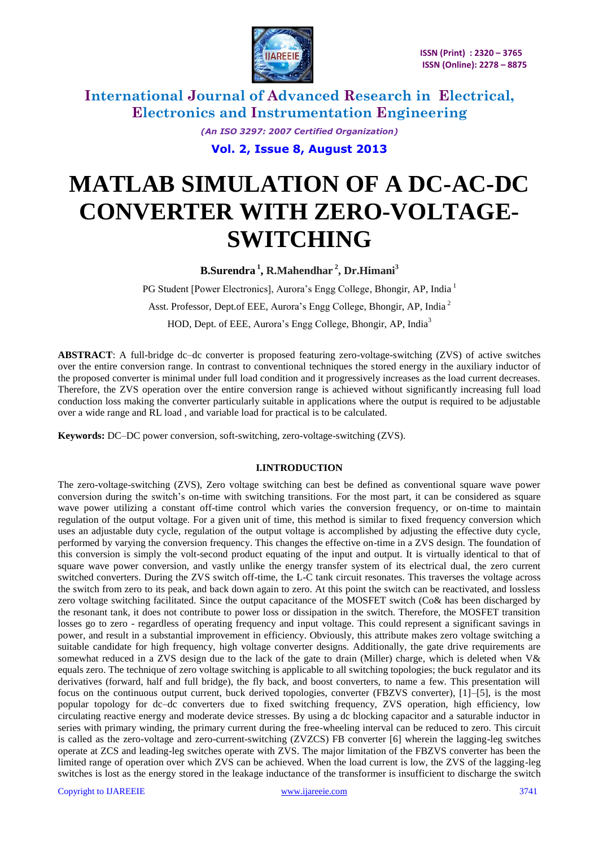

> *(An ISO 3297: 2007 Certified Organization)* **Vol. 2, Issue 8, August 2013**

# **MATLAB SIMULATION OF A DC-AC-DC CONVERTER WITH ZERO-VOLTAGE-SWITCHING**

**B.Surendra <sup>1</sup> , R.Mahendhar <sup>2</sup> , Dr.Himani<sup>3</sup>**

PG Student [Power Electronics], Aurora's Engg College, Bhongir, AP, India<sup>1</sup> Asst. Professor, Dept.of EEE, Aurora's Engg College, Bhongir, AP, India <sup>2</sup> HOD, Dept. of EEE, Aurora's Engg College, Bhongir, AP, India<sup>3</sup>

**ABSTRACT**: A full-bridge dc–dc converter is proposed featuring zero-voltage-switching (ZVS) of active switches over the entire conversion range. In contrast to conventional techniques the stored energy in the auxiliary inductor of the proposed converter is minimal under full load condition and it progressively increases as the load current decreases. Therefore, the ZVS operation over the entire conversion range is achieved without significantly increasing full load conduction loss making the converter particularly suitable in applications where the output is required to be adjustable over a wide range and RL load , and variable load for practical is to be calculated.

**Keywords:** DC–DC power conversion, soft-switching, zero-voltage-switching (ZVS).

#### **I.INTRODUCTION**

The zero-voltage-switching (ZVS), Zero voltage switching can best be defined as conventional square wave power conversion during the switch's on-time with switching transitions. For the most part, it can be considered as square wave power utilizing a constant off-time control which varies the conversion frequency, or on-time to maintain regulation of the output voltage. For a given unit of time, this method is similar to fixed frequency conversion which uses an adjustable duty cycle, regulation of the output voltage is accomplished by adjusting the effective duty cycle, performed by varying the conversion frequency. This changes the effective on-time in a ZVS design. The foundation of this conversion is simply the volt-second product equating of the input and output. It is virtually identical to that of square wave power conversion, and vastly unlike the energy transfer system of its electrical dual, the zero current switched converters. During the ZVS switch off-time, the L-C tank circuit resonates. This traverses the voltage across the switch from zero to its peak, and back down again to zero. At this point the switch can be reactivated, and lossless zero voltage switching facilitated. Since the output capacitance of the MOSFET switch (Co& has been discharged by the resonant tank, it does not contribute to power loss or dissipation in the switch. Therefore, the MOSFET transition losses go to zero - regardless of operating frequency and input voltage. This could represent a significant savings in power, and result in a substantial improvement in efficiency. Obviously, this attribute makes zero voltage switching a suitable candidate for high frequency, high voltage converter designs. Additionally, the gate drive requirements are somewhat reduced in a ZVS design due to the lack of the gate to drain (Miller) charge, which is deleted when V& equals zero. The technique of zero voltage switching is applicable to all switching topologies; the buck regulator and its derivatives (forward, half and full bridge), the fly back, and boost converters, to name a few. This presentation will focus on the continuous output current, buck derived topologies, converter (FBZVS converter), [1]–[5], is the most popular topology for dc–dc converters due to fixed switching frequency, ZVS operation, high efficiency, low circulating reactive energy and moderate device stresses. By using a dc blocking capacitor and a saturable inductor in series with primary winding, the primary current during the free-wheeling interval can be reduced to zero. This circuit is called as the zero-voltage and zero-current-switching (ZVZCS) FB converter [6] wherein the lagging-leg switches operate at ZCS and leading-leg switches operate with ZVS. The major limitation of the FBZVS converter has been the limited range of operation over which ZVS can be achieved. When the load current is low, the ZVS of the lagging-leg switches is lost as the energy stored in the leakage inductance of the transformer is insufficient to discharge the switch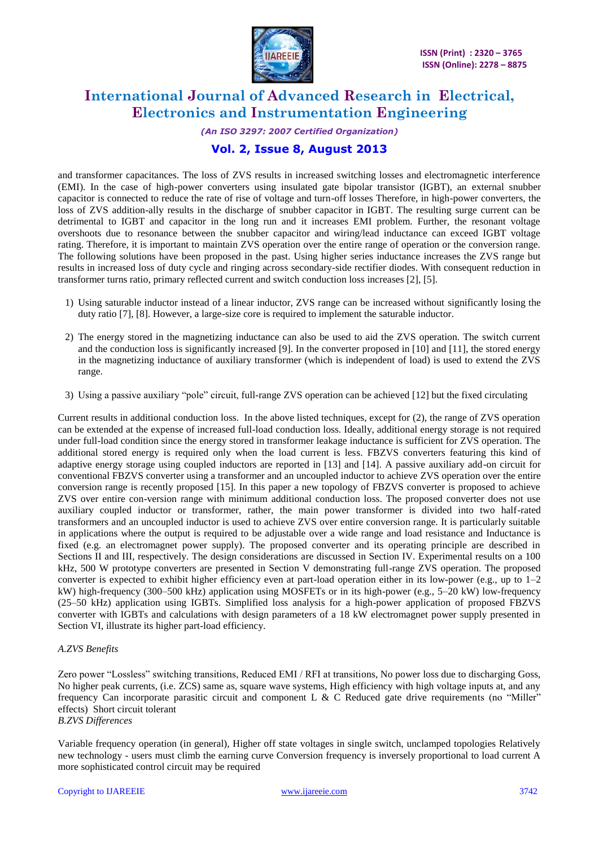

### *(An ISO 3297: 2007 Certified Organization)*

### **Vol. 2, Issue 8, August 2013**

and transformer capacitances. The loss of ZVS results in increased switching losses and electromagnetic interference (EMI). In the case of high-power converters using insulated gate bipolar transistor (IGBT), an external snubber capacitor is connected to reduce the rate of rise of voltage and turn-off losses Therefore, in high-power converters, the loss of ZVS addition-ally results in the discharge of snubber capacitor in IGBT. The resulting surge current can be detrimental to IGBT and capacitor in the long run and it increases EMI problem. Further, the resonant voltage overshoots due to resonance between the snubber capacitor and wiring/lead inductance can exceed IGBT voltage rating. Therefore, it is important to maintain ZVS operation over the entire range of operation or the conversion range. The following solutions have been proposed in the past. Using higher series inductance increases the ZVS range but results in increased loss of duty cycle and ringing across secondary-side rectifier diodes. With consequent reduction in transformer turns ratio, primary reflected current and switch conduction loss increases [2], [5].

- 1) Using saturable inductor instead of a linear inductor, ZVS range can be increased without significantly losing the duty ratio [7], [8]. However, a large-size core is required to implement the saturable inductor.
- 2) The energy stored in the magnetizing inductance can also be used to aid the ZVS operation. The switch current and the conduction loss is significantly increased [9]. In the converter proposed in [10] and [11], the stored energy in the magnetizing inductance of auxiliary transformer (which is independent of load) is used to extend the ZVS range.
- 3) Using a passive auxiliary "pole" circuit, full-range ZVS operation can be achieved [12] but the fixed circulating

Current results in additional conduction loss. In the above listed techniques, except for (2), the range of ZVS operation can be extended at the expense of increased full-load conduction loss. Ideally, additional energy storage is not required under full-load condition since the energy stored in transformer leakage inductance is sufficient for ZVS operation. The additional stored energy is required only when the load current is less. FBZVS converters featuring this kind of adaptive energy storage using coupled inductors are reported in [13] and [14]. A passive auxiliary add-on circuit for conventional FBZVS converter using a transformer and an uncoupled inductor to achieve ZVS operation over the entire conversion range is recently proposed [15]. In this paper a new topology of FBZVS converter is proposed to achieve ZVS over entire con-version range with minimum additional conduction loss. The proposed converter does not use auxiliary coupled inductor or transformer, rather, the main power transformer is divided into two half-rated transformers and an uncoupled inductor is used to achieve ZVS over entire conversion range. It is particularly suitable in applications where the output is required to be adjustable over a wide range and load resistance and Inductance is fixed (e.g. an electromagnet power supply). The proposed converter and its operating principle are described in Sections II and III, respectively. The design considerations are discussed in Section IV. Experimental results on a 100 kHz, 500 W prototype converters are presented in Section V demonstrating full-range ZVS operation. The proposed converter is expected to exhibit higher efficiency even at part-load operation either in its low-power (e.g., up to  $1-2$ ) kW) high-frequency (300–500 kHz) application using MOSFETs or in its high-power (e.g., 5–20 kW) low-frequency (25–50 kHz) application using IGBTs. Simplified loss analysis for a high-power application of proposed FBZVS converter with IGBTs and calculations with design parameters of a 18 kW electromagnet power supply presented in Section VI, illustrate its higher part-load efficiency.

#### *A.ZVS Benefits*

Zero power "Lossless" switching transitions, Reduced EMI / RFI at transitions, No power loss due to discharging Goss, No higher peak currents, (i.e. ZCS) same as, square wave systems, High efficiency with high voltage inputs at, and any frequency Can incorporate parasitic circuit and component L & C Reduced gate drive requirements (no "Miller" effects) Short circuit tolerant *B.ZVS Differences*

Variable frequency operation (in general), Higher off state voltages in single switch, unclamped topologies Relatively new technology - users must climb the earning curve Conversion frequency is inversely proportional to load current A more sophisticated control circuit may be required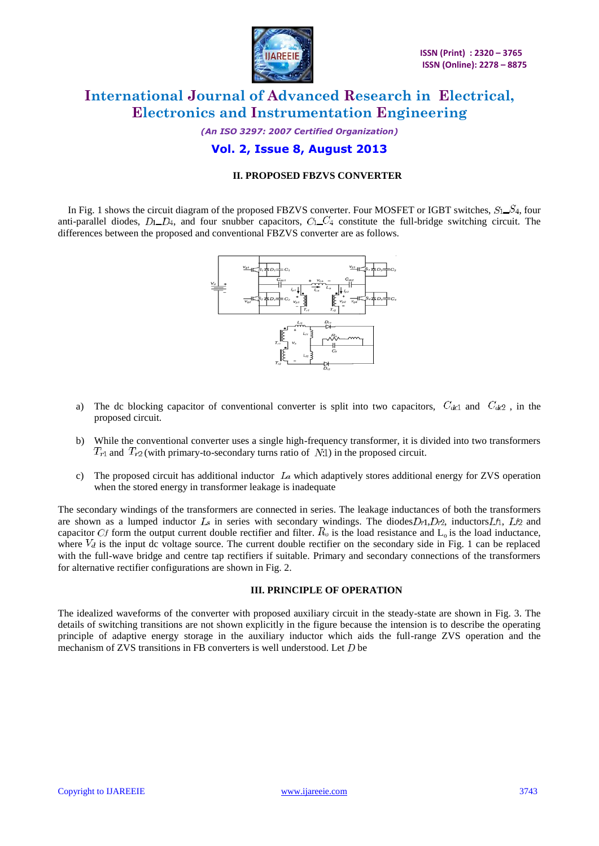

*(An ISO 3297: 2007 Certified Organization)*

### **Vol. 2, Issue 8, August 2013**

#### **II. PROPOSED FBZVS CONVERTER**

In Fig. 1 shows the circuit diagram of the proposed FBZVS converter. Four MOSFET or IGBT switches,  $S_1$ ,  $S_4$ , four anti-parallel diodes,  $D_1 \_D_4$ , and four snubber capacitors,  $C_1 \_C_4$  constitute the full-bridge switching circuit. The differences between the proposed and conventional FBZVS converter are as follows.



- a) The dc blocking capacitor of conventional converter is split into two capacitors,  $C_{dcl}$  and  $C_{d2}$ , in the proposed circuit.
- b) While the conventional converter uses a single high-frequency transformer, it is divided into two transformers  $T_{r1}$  and  $T_{r2}$  (with primary-to-secondary turns ratio of  $N(1)$  in the proposed circuit.
- c) The proposed circuit has additional inductor  $La$  which adaptively stores additional energy for ZVS operation when the stored energy in transformer leakage is inadequate

The secondary windings of the transformers are connected in series. The leakage inductances of both the transformers are shown as a lumped inductor  $L_s$  in series with secondary windings. The diodes  $Dr_1, Dr_2$ , inductors  $Lf_1, Lf_2$  and capacitor *Cf* form the output current double rectifier and filter.  $R_0$  is the load resistance and  $L_0$  is the load inductance, where  $V_d$  is the input dc voltage source. The current double rectifier on the secondary side in Fig. 1 can be replaced with the full-wave bridge and centre tap rectifiers if suitable. Primary and secondary connections of the transformers for alternative rectifier configurations are shown in Fig. 2.

#### **III. PRINCIPLE OF OPERATION**

The idealized waveforms of the converter with proposed auxiliary circuit in the steady-state are shown in Fig. 3. The details of switching transitions are not shown explicitly in the figure because the intension is to describe the operating principle of adaptive energy storage in the auxiliary inductor which aids the full-range ZVS operation and the mechanism of ZVS transitions in FB converters is well understood. Let  $D$  be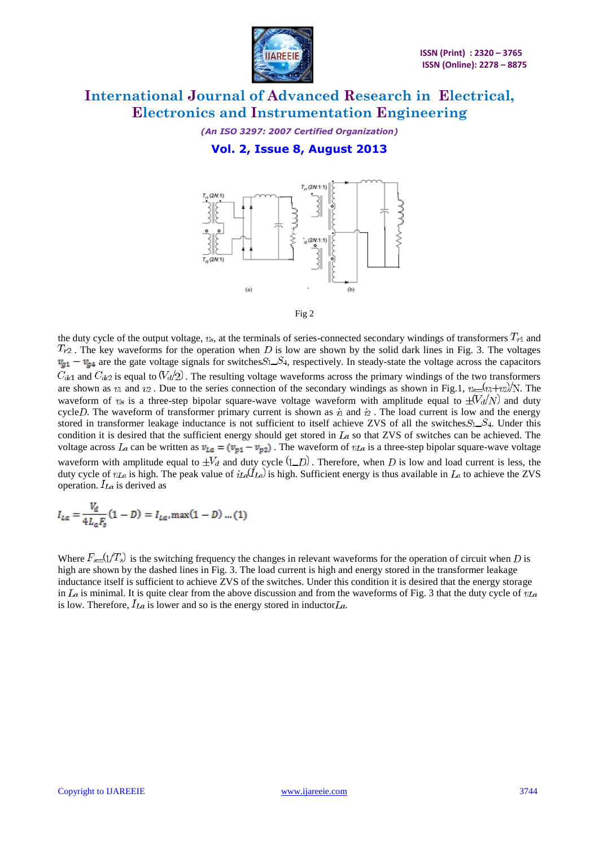

*(An ISO 3297: 2007 Certified Organization)*

**Vol. 2, Issue 8, August 2013**





the duty cycle of the output voltage,  $v_s$ , at the terminals of series-connected secondary windings of transformers  $T_{r1}$  and  $T_{r2}$ . The key waveforms for the operation when D is low are shown by the solid dark lines in Fig. 3. The voltages  $v_{g1} - v_{g4}$  are the gate voltage signals for switches  $S_1 = S_4$ , respectively. In steady-state the voltage across the capacitors  $C_{\text{del}}$  and  $C_{\text{de2}}$  is equal to  $(V_d/2)$ . The resulting voltage waveforms across the primary windings of the two transformers are shown as v<sub>1</sub> and v<sub>2</sub>. Due to the series connection of the secondary windings as shown in Fig.1,  $v_s = (v_1 + v_2)/N$ . The waveform of  $v_s$  is a three-step bipolar square-wave voltage waveform with amplitude equal to  $\pm \sqrt{V_d/N}$  and duty cycle D. The waveform of transformer primary current is shown as  $\dot{u}$  and  $\dot{u}$ . The load current is low and the energy stored in transformer leakage inductance is not sufficient to itself achieve ZVS of all the switches  $S_1$ ,  $S_4$ . Under this condition it is desired that the sufficient energy should get stored in  $La$  so that ZVS of switches can be achieved. The voltage across La can be written as  $v_{La} = (v_{p1} - v_{p2})$ . The waveform of  $v_{La}$  is a three-step bipolar square-wave voltage waveform with amplitude equal to  $\pm V_d$  and duty cycle  $(1 - D)$ . Therefore, when D is low and load current is less, the duty cycle of  $v_{La}$  is high. The peak value of  $i_{La}(I_{La})$  is high. Sufficient energy is thus available in  $La$  to achieve the ZVS operation.  $I_{La}$  is derived as

$$
I_{La} = \frac{V_d}{4L_a F_s} (1 - D) = I_{La} , max(1 - D) ... (1)
$$

Where  $F_{s=1}/T_s$  is the switching frequency the changes in relevant waveforms for the operation of circuit when D is high are shown by the dashed lines in Fig. 3. The load current is high and energy stored in the transformer leakage inductance itself is sufficient to achieve ZVS of the switches. Under this condition it is desired that the energy storage in  $La$  is minimal. It is quite clear from the above discussion and from the waveforms of Fig. 3 that the duty cycle of  $v_{La}$ is low. Therefore,  $I_{La}$  is lower and so is the energy stored in inductor  $La$ .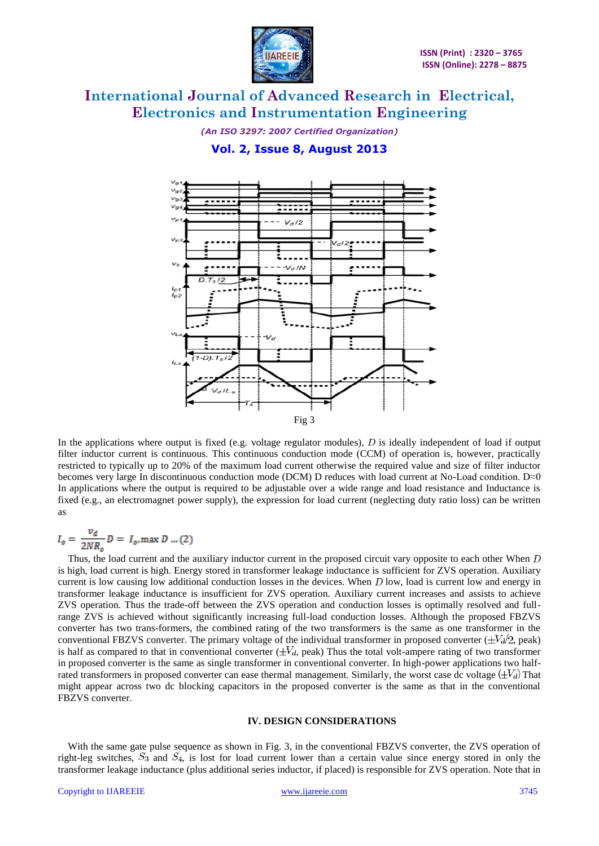

**IAREEIE** 

*(An ISO 3297: 2007 Certified Organization)*

**Vol. 2, Issue 8, August 2013**



In the applications where output is fixed (e.g. voltage regulator modules),  $D$  is ideally independent of load if output filter inductor current is continuous. This continuous conduction mode (CCM) of operation is, however, practically restricted to typically up to 20% of the maximum load current otherwise the required value and size of filter inductor becomes very large In discontinuous conduction mode (DCM) D reduces with load current at No-Load condition. D≈0 In applications where the output is required to be adjustable over a wide range and load resistance and Inductance is fixed (e.g., an electromagnet power supply), the expression for load current (neglecting duty ratio loss) can be written as

# $I_o = \frac{v_d}{2NR_o} D = I_o$ , max  $D ... (2)$

Thus, the load current and the auxiliary inductor current in the proposed circuit vary opposite to each other When  $D$ is high, load current is high. Energy stored in transformer leakage inductance is sufficient for ZVS operation. Auxiliary current is low causing low additional conduction losses in the devices. When  $D$  low, load is current low and energy in transformer leakage inductance is insufficient for ZVS operation. Auxiliary current increases and assists to achieve ZVS operation. Thus the trade-off between the ZVS operation and conduction losses is optimally resolved and fullrange ZVS is achieved without significantly increasing full-load conduction losses. Although the proposed FBZVS converter has two trans-formers, the combined rating of the two transformers is the same as one transformer in the conventional FBZVS converter. The primary voltage of the individual transformer in proposed converter  $(\pm V_d/2)$ , peak) is half as compared to that in conventional converter  $(\pm V_d)$ , peak) Thus the total volt-ampere rating of two transformer in proposed converter is the same as single transformer in conventional converter. In high-power applications two halfrated transformers in proposed converter can ease thermal management. Similarly, the worst case dc voltage  $(\pm V_d)$  That might appear across two dc blocking capacitors in the proposed converter is the same as that in the conventional FBZVS converter.

#### **IV. DESIGN CONSIDERATIONS**

With the same gate pulse sequence as shown in Fig. 3, in the conventional FBZVS converter, the ZVS operation of right-leg switches,  $S_3$  and  $S_4$ , is lost for load current lower than a certain value since energy stored in only the transformer leakage inductance (plus additional series inductor, if placed) is responsible for ZVS operation. Note that in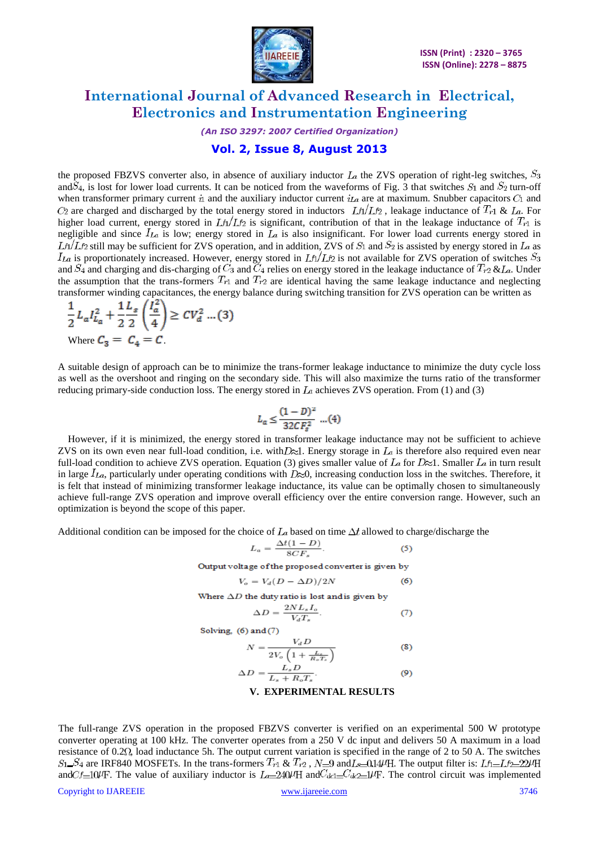

#### *(An ISO 3297: 2007 Certified Organization)*

### **Vol. 2, Issue 8, August 2013**

the proposed FBZVS converter also, in absence of auxiliary inductor  $La$  the ZVS operation of right-leg switches,  $S_3$ and  $S_4$ , is lost for lower load currents. It can be noticed from the waveforms of Fig. 3 that switches  $S_1$  and  $S_2$  turn-off when transformer primary current is and the auxiliary inductor current  $i\mathcal{L}$  are at maximum. Snubber capacitors  $C_1$  and  $C_2$  are charged and discharged by the total energy stored in inductors  $Lf_1/Lf_2$ , leakage inductance of  $T_{r1}$  &  $L_a$ . For higher load current, energy stored in  $Lf_1/Lf_2$  is significant, contribution of that in the leakage inductance of  $T_{r1}$  is negligible and since  $I_{La}$  is low; energy stored in  $I_a$  is also insignificant. For lower load currents energy stored in Lft/Lf2 still may be sufficient for ZVS operation, and in addition, ZVS of  $S_1$  and  $S_2$  is assisted by energy stored in La as  $I_{La}$  is proportionately increased. However, energy stored in  $Lf_1/Lf_2$  is not available for ZVS operation of switches  $S_3$ and  $S_4$  and charging and dis-charging of  $C_3$  and  $\tilde{C}_4$  relies on energy stored in the leakage inductance of  $T_{r2}$  & La. Under the assumption that the trans-formers  $T_{r1}$  and  $T_{r2}$  are identical having the same leakage inductance and neglecting transformer winding capacitances, the energy balance during switching transition for ZVS operation can be written as

$$
\frac{1}{2}L_a I_{L_a}^2 + \frac{1}{2} \frac{L_s}{2} \left(\frac{I_a^2}{4}\right) \ge CV_a^2 \dots (3)
$$
  
Where  $C_3 = C_4 = C$ 

A suitable design of approach can be to minimize the trans-former leakage inductance to minimize the duty cycle loss as well as the overshoot and ringing on the secondary side. This will also maximize the turns ratio of the transformer reducing primary-side conduction loss. The energy stored in  $La$  achieves ZVS operation. From (1) and (3)

$$
L_a \leq \frac{(1-D)^2}{32CF_s^2} \dots (4)
$$

However, if it is minimized, the energy stored in transformer leakage inductance may not be sufficient to achieve ZVS on its own even near full-load condition, i.e. with  $D \approx 1$ . Energy storage in  $La$  is therefore also required even near full-load condition to achieve ZVS operation. Equation (3) gives smaller value of  $La$  for  $D \approx 1$ . Smaller  $La$  in turn result in large  $I_{La}$ , particularly under operating conditions with  $D\approx 0$ , increasing conduction loss in the switches. Therefore, it is felt that instead of minimizing transformer leakage inductance, its value can be optimally chosen to simultaneously achieve full-range ZVS operation and improve overall efficiency over the entire conversion range. However, such an optimization is beyond the scope of this paper.

Additional condition can be imposed for the choice of  $La$  based on time  $\Delta t$  allowed to charge/discharge the

$$
L_a = \frac{\Delta t (1 - D)}{8CF_s}.
$$
 (5)

 $(6)$ 

Output voltage of the proposed converter is given by

$$
V_o = V_d(D - \Delta D)/2N
$$

e 
$$
\Delta D
$$
 the duty ratio is lost and is given by  

$$
\Delta D = \frac{2NL_sI_o}{V.T}.
$$
 (7)

Solving,  $(6)$  and  $(7)$ 

 $\mathbf{r}$ 

Wher

$$
N = \frac{V_d D}{2V_o \left(1 + \frac{L_s}{R_o T_s}\right)}\tag{8}
$$

$$
\Delta D = \frac{\dot{L_s} D}{L_s + R_o T_s}.
$$
\n(9)

**V. EXPERIMENTAL RESULTS**

The full-range ZVS operation in the proposed FBZVS converter is verified on an experimental 500 W prototype converter operating at 100 kHz. The converter operates from a 250 V dc input and delivers 50 A maximum in a load resistance of  $0.2\Omega$ , load inductance 5h. The output current variation is specified in the range of 2 to 50 A. The switches  $S_1$ ,  $S_4$  are IRF840 MOSFETs. In the trans-formers  $T_{r1}$  &  $T_{r2}$ ,  $N=9$  and  $L_s=0.14$  H. The output filter is:  $Lf_1=Lf_2=22$  H. and  $C_f=10\mu$ . The value of auxiliary inductor is  $L_a=240\mu$ H and  $C_{dc}=-1\mu$ . The control circuit was implemented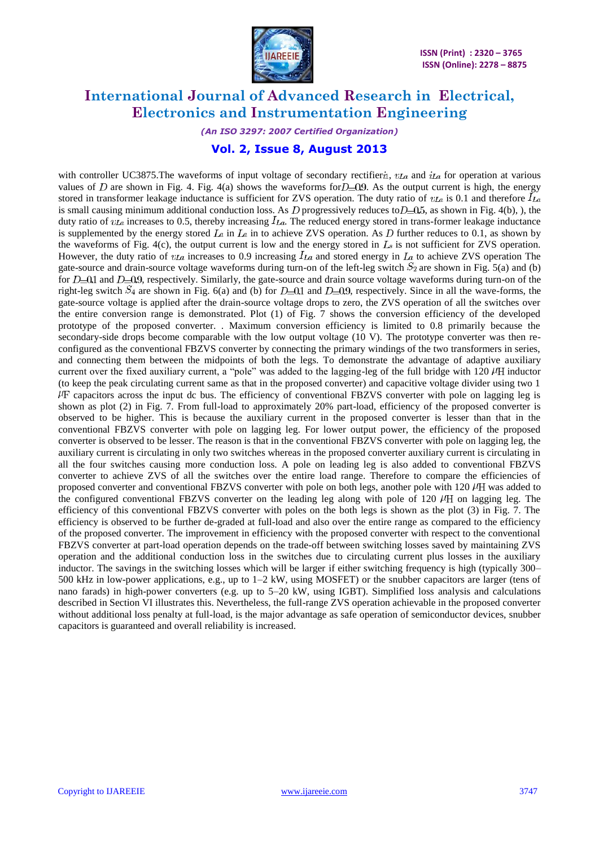

*(An ISO 3297: 2007 Certified Organization)*

**Vol. 2, Issue 8, August 2013**

with controller UC3875. The waveforms of input voltage of secondary rectifier  $i$ ,  $v_{La}$  and  $i_{La}$  for operation at various values of D are shown in Fig. 4. Fig. 4(a) shows the waveforms for  $D=0.9$ . As the output current is high, the energy stored in transformer leakage inductance is sufficient for ZVS operation. The duty ratio of  $v_{La}$  is 0.1 and therefore  $I_{La}$ is small causing minimum additional conduction loss. As  $D$  progressively reduces to  $D=0.5$ , as shown in Fig. 4(b), ), the duty ratio of  $v_{La}$  increases to 0.5, thereby increasing  $I_{La}$ . The reduced energy stored in trans-former leakage inductance is supplemented by the energy stored  $La$  in  $La$  in to achieve ZVS operation. As D further reduces to 0.1, as shown by the waveforms of Fig. 4(c), the output current is low and the energy stored in  $L_s$  is not sufficient for ZVS operation. However, the duty ratio of  $v_{La}$  increases to 0.9 increasing  $I_{La}$  and stored energy in  $La$  to achieve ZVS operation The gate-source and drain-source voltage waveforms during turn-on of the left-leg switch  $S_2$  are shown in Fig. 5(a) and (b) for  $D=0.1$  and  $D=0.9$ , respectively. Similarly, the gate-source and drain source voltage waveforms during turn-on of the right-leg switch  $S_4$  are shown in Fig. 6(a) and (b) for  $D=0.1$  and  $D=0.9$ , respectively. Since in all the wave-forms, the gate-source voltage is applied after the drain-source voltage drops to zero, the ZVS operation of all the switches over the entire conversion range is demonstrated. Plot  $(1)$  of Fig. 7 shows the conversion efficiency of the developed prototype of the proposed converter. . Maximum conversion efficiency is limited to 0.8 primarily because the secondary-side drops become comparable with the low output voltage (10 V). The prototype converter was then reconfigured as the conventional FBZVS converter by connecting the primary windings of the two transformers in series, and connecting them between the midpoints of both the legs. To demonstrate the advantage of adaptive auxiliary current over the fixed auxiliary current, a "pole" was added to the lagging-leg of the full bridge with  $120 \mu H$  inductor (to keep the peak circulating current same as that in the proposed converter) and capacitive voltage divider using two 1  $\mu$ F capacitors across the input dc bus. The efficiency of conventional FBZVS converter with pole on lagging leg is shown as plot (2) in Fig. 7. From full-load to approximately 20% part-load, efficiency of the proposed converter is observed to be higher. This is because the auxiliary current in the proposed converter is lesser than that in the conventional FBZVS converter with pole on lagging leg. For lower output power, the efficiency of the proposed converter is observed to be lesser. The reason is that in the conventional FBZVS converter with pole on lagging leg, the auxiliary current is circulating in only two switches whereas in the proposed converter auxiliary current is circulating in all the four switches causing more conduction loss. A pole on leading leg is also added to conventional FBZVS converter to achieve ZVS of all the switches over the entire load range. Therefore to compare the efficiencies of proposed converter and conventional FBZVS converter with pole on both legs, another pole with  $120 \mu$ H was added to the configured conventional FBZVS converter on the leading leg along with pole of  $120 \mu H$  on lagging leg. The efficiency of this conventional FBZVS converter with poles on the both legs is shown as the plot (3) in Fig. 7. The efficiency is observed to be further de-graded at full-load and also over the entire range as compared to the efficiency of the proposed converter. The improvement in efficiency with the proposed converter with respect to the conventional FBZVS converter at part-load operation depends on the trade-off between switching losses saved by maintaining ZVS operation and the additional conduction loss in the switches due to circulating current plus losses in the auxiliary inductor. The savings in the switching losses which will be larger if either switching frequency is high (typically 300– 500 kHz in low-power applications, e.g., up to 1–2 kW, using MOSFET) or the snubber capacitors are larger (tens of nano farads) in high-power converters (e.g. up to 5–20 kW, using IGBT). Simplified loss analysis and calculations described in Section VI illustrates this. Nevertheless, the full-range ZVS operation achievable in the proposed converter without additional loss penalty at full-load, is the major advantage as safe operation of semiconductor devices, snubber capacitors is guaranteed and overall reliability is increased.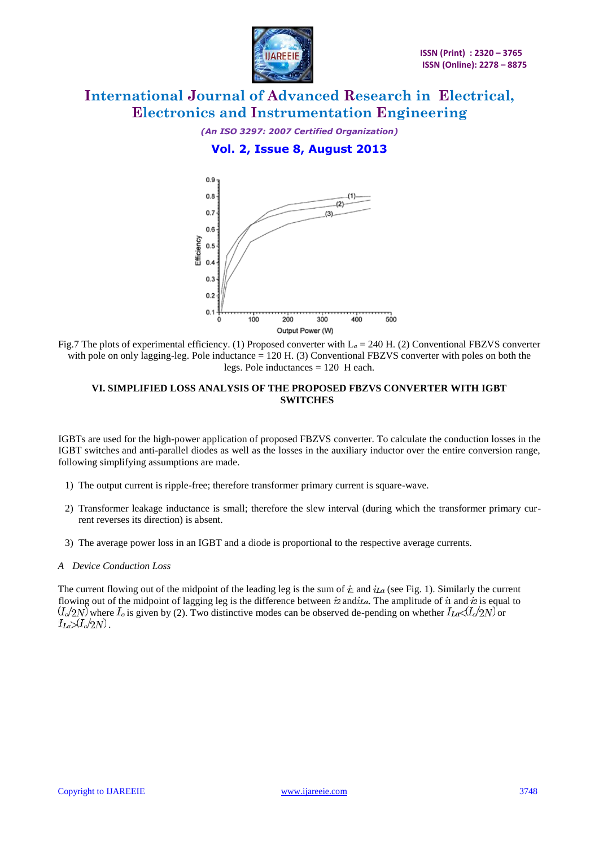

*(An ISO 3297: 2007 Certified Organization)*

**Vol. 2, Issue 8, August 2013**



Fig.7 The plots of experimental efficiency. (1) Proposed converter with  $L_a = 240$  H. (2) Conventional FBZVS converter with pole on only lagging-leg. Pole inductance = 120 H. (3) Conventional FBZVS converter with poles on both the legs. Pole inductances = 120 H each.

#### **VI. SIMPLIFIED LOSS ANALYSIS OF THE PROPOSED FBZVS CONVERTER WITH IGBT SWITCHES**

IGBTs are used for the high-power application of proposed FBZVS converter. To calculate the conduction losses in the IGBT switches and anti-parallel diodes as well as the losses in the auxiliary inductor over the entire conversion range, following simplifying assumptions are made.

- 1) The output current is ripple-free; therefore transformer primary current is square-wave.
- 2) Transformer leakage inductance is small; therefore the slew interval (during which the transformer primary current reverses its direction) is absent.
- 3) The average power loss in an IGBT and a diode is proportional to the respective average currents.

#### *A Device Conduction Loss*

The current flowing out of the midpoint of the leading leg is the sum of  $\dot{u}$  and  $\dot{u}$  (see Fig. 1). Similarly the current flowing out of the midpoint of lagging leg is the difference between is and i.e.. The amplitude of i and is equal to  $(I_o/2N)$  where  $I_o$  is given by (2). Two distinctive modes can be observed de-pending on whether  $I_{La} \ll I_o/2N$  or  $I_{L_0}>(I_0/2N)$ .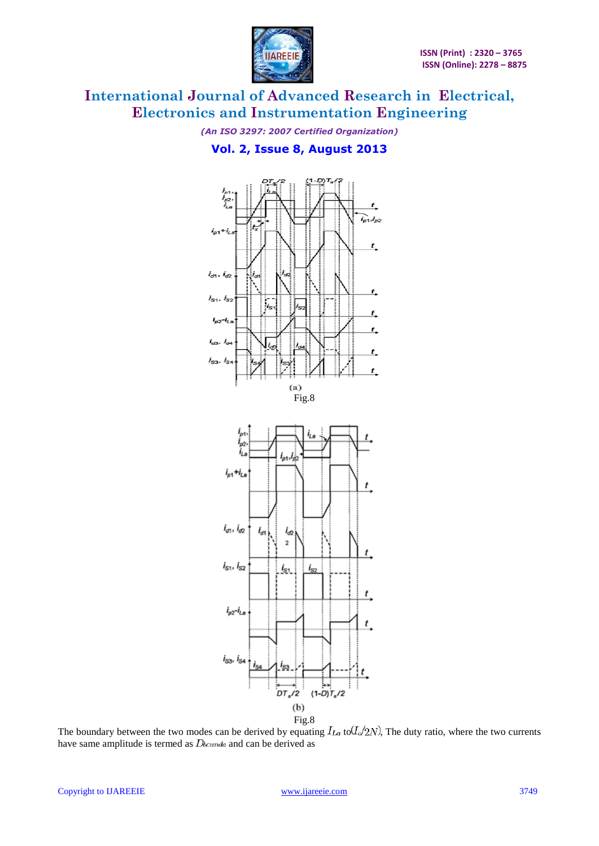

*(An ISO 3297: 2007 Certified Organization)*

**Vol. 2, Issue 8, August 2013**





The boundary between the two modes can be derived by equating  $I_{La}$  to  $(I_o/2N)$ , The duty ratio, where the two currents have same amplitude is termed as  $D_{bounda}$  and can be derived as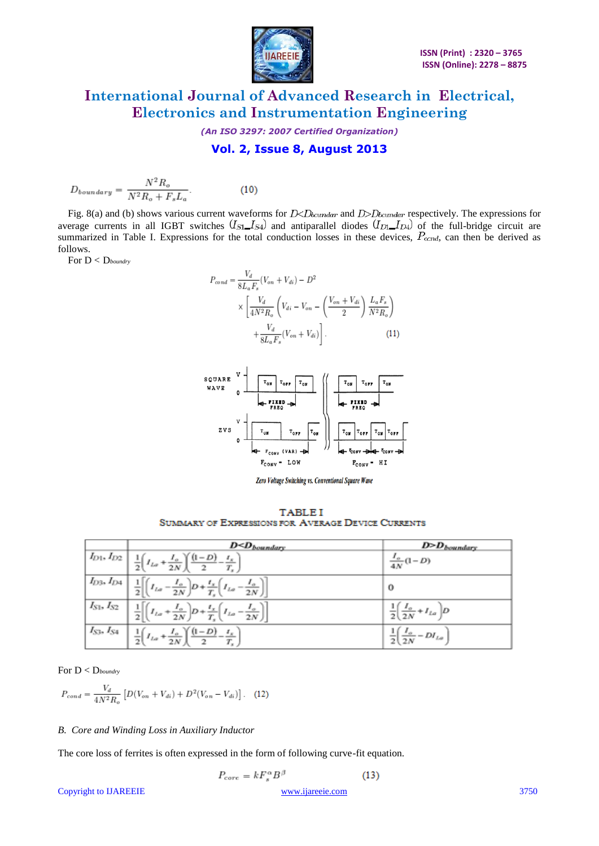

*(An ISO 3297: 2007 Certified Organization)* **Vol. 2, Issue 8, August 2013**

$$
D_{boundary} = \frac{N^2 R_o}{N^2 R_o + F_s L_a}.
$$
 (10)

Fig. 8(a) and (b) shows various current waveforms for  $D \leq D$ boundar and  $D \geq D$ boundar respectively. The expressions for average currents in all IGBT switches  $(I_{S1}I_{S4})$  and antiparallel diodes  $(I_{D1}I_{D4})$  of the full-bridge circuit are summarized in Table I. Expressions for the total conduction losses in these devices,  $P_{cond}$ , can then be derived as follows.

For D < D*boundry*

$$
P_{cond} = \frac{V_d}{8L_aF_s}(V_{on} + V_{di}) - D^2
$$
  
 
$$
\times \left[ \frac{V_d}{4N^2R_o} \left( V_{di} - V_{on} - \left( \frac{V_{on} + V_{di}}{2} \right) \frac{L_aF_s}{N^2R_o} \right) + \frac{V_d}{8L_aF_s}(V_{on} + V_{di}) \right].
$$
 (11)



Zero Voltage Switching vs. Conventional Square Wave

**TABLEI SUMMARY OF EXPRESSIONS FOR AVERAGE DEVICE CURRENTS** 

| $D < D_{boundary}$                                                                                                                                                                                     | $D$ > $D_{boundary}$                                  |
|--------------------------------------------------------------------------------------------------------------------------------------------------------------------------------------------------------|-------------------------------------------------------|
| $\begin{array}{ c c } \hline I_{D1}, I_{D2} & \frac{1}{2} \left( I_{La} + \frac{I_o}{2N} \right) \left( 1 - D \right) - \frac{t_x}{T_x} \end{array}$                                                   | $\frac{I_o}{4N}(1-D)$                                 |
| $\boxed{I_{D3}, I_{D4} \left[ \begin{array}{c} \frac{1}{2} \end{array} \left[ \left(I_{La} - \frac{I_o}{2N} \right] D + \frac{t_x}{T_s} \left(I_{La} - \frac{I_o}{2N} \right) \right] \qquad \qquad }$ | 0                                                     |
| $\boxed{I_{S1}, I_{S2} \quad \boxed{\frac{1}{2} \left[\left(I_{La} + \frac{I_o}{2N}\right) D + \frac{t_x}{T_x} \left(I_{La} - \frac{I_o}{2N}\right)\right]}$                                           | $rac{1}{2}$ $\left(\frac{I_o}{2N} + I_{Lo}\right)D$   |
| $\overline{I_{53}}, \overline{I_{54}}$ $\overline{I_2}\left(I_{L_8} + \frac{I_o}{2N}\right) \left(\frac{(1-D)}{2} - \frac{t_x}{T_x}\right)$                                                            | $\frac{1}{2} \left( \frac{I_o}{2N} - DI_{La} \right)$ |

For D < D*boundry*

$$
P_{cond} = \frac{V_d}{4N^2 R_o} \left[ D(V_{on} + V_{di}) + D^2 (V_{on} - V_{di}) \right]. \tag{12}
$$

#### *B. Core and Winding Loss in Auxiliary Inductor*

The core loss of ferrites is often expressed in the form of following curve-fit equation.

$$
P_{core} = kF_s^{\alpha}B^{\beta}
$$
 (13)  
Copyright to IJAREEIE  
www.ijareei.com (13)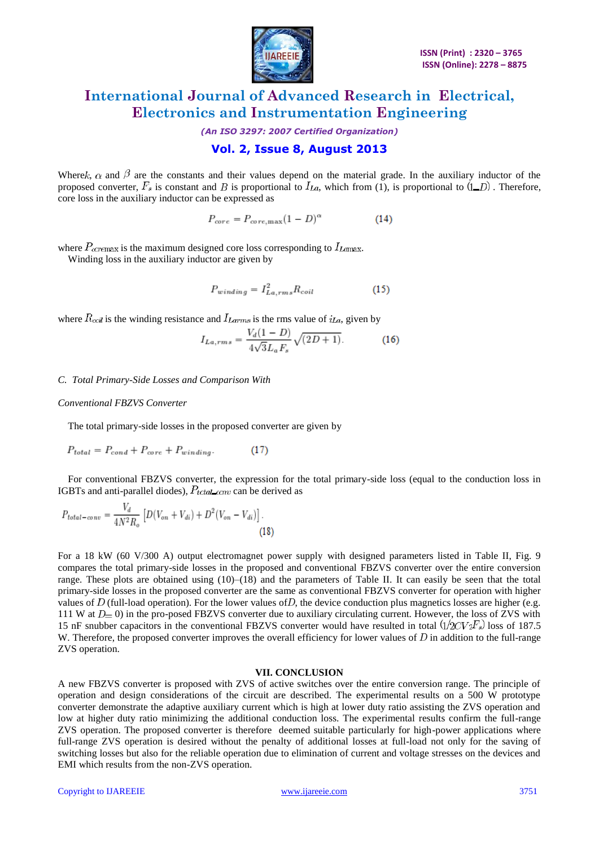

*(An ISO 3297: 2007 Certified Organization)*

### **Vol. 2, Issue 8, August 2013**

Wherek,  $\alpha$  and  $\beta$  are the constants and their values depend on the material grade. In the auxiliary inductor of the proposed converter,  $F_s$  is constant and B is proportional to  $I_{La}$ , which from (1), is proportional to  $(1-D)$ . Therefore, core loss in the auxiliary inductor can be expressed as

$$
P_{\text{core}} = P_{\text{core,max}} (1 - D)^{\alpha} \tag{14}
$$

where  $P_{\text{coremas}}$  is the maximum designed core loss corresponding to  $I_{\text{Lamar}}$ . Winding loss in the auxiliary inductor are given by

$$
P_{winding} = I_{La,rms}^2 R_{coil} \tag{15}
$$

where  $R_{coil}$  is the winding resistance and  $I_{Larms}$  is the rms value of  $i_{La}$ , given by

$$
I_{La,rms} = \frac{V_d(1-D)}{4\sqrt{3}L_aF_s} \sqrt{(2D+1)}.
$$
 (16)

#### *C. Total Primary-Side Losses and Comparison With*

#### *Conventional FBZVS Converter*

The total primary-side losses in the proposed converter are given by

$$
P_{total} = P_{cond} + P_{core} + P_{winding}.
$$
 (17)

For conventional FBZVS converter, the expression for the total primary-side loss (equal to the conduction loss in IGBTs and anti-parallel diodes),  $P_{total\_conv}$  can be derived as

$$
P_{total-conv} = \frac{V_d}{4N^2 R_o} \left[ D(V_{on} + V_{di}) + D^2 (V_{on} - V_{di}) \right].
$$
\n(18)

For a 18 kW (60 V/300 A) output electromagnet power supply with designed parameters listed in Table II, Fig. 9 compares the total primary-side losses in the proposed and conventional FBZVS converter over the entire conversion range. These plots are obtained using  $(10)$ – $(18)$  and the parameters of Table II. It can easily be seen that the total primary-side losses in the proposed converter are the same as conventional FBZVS converter for operation with higher values of  $D$  (full-load operation). For the lower values of  $D$ , the device conduction plus magnetics losses are higher (e.g. 111 W at  $D=0$  in the pro-posed FBZVS converter due to auxiliary circulating current. However, the loss of ZVS with 15 nF snubber capacitors in the conventional FBZVS converter would have resulted in total  $(1/2CV_2F_s)$  loss of 187.5 W. Therefore, the proposed converter improves the overall efficiency for lower values of  $D$  in addition to the full-range ZVS operation.

#### **VII. CONCLUSION**

A new FBZVS converter is proposed with ZVS of active switches over the entire conversion range. The principle of operation and design considerations of the circuit are described. The experimental results on a 500 W prototype converter demonstrate the adaptive auxiliary current which is high at lower duty ratio assisting the ZVS operation and low at higher duty ratio minimizing the additional conduction loss. The experimental results confirm the full-range ZVS operation. The proposed converter is therefore deemed suitable particularly for high-power applications where full-range ZVS operation is desired without the penalty of additional losses at full-load not only for the saving of switching losses but also for the reliable operation due to elimination of current and voltage stresses on the devices and EMI which results from the non-ZVS operation.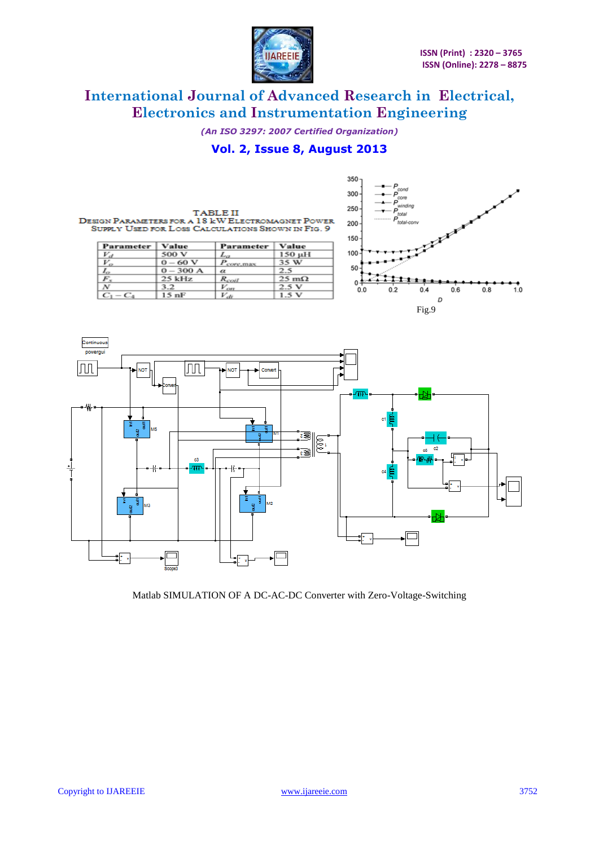

*(An ISO 3297: 2007 Certified Organization)*

### **Vol. 2, Issue 8, August 2013**



Matlab SIMULATION OF A DC-AC-DC Converter with Zero-Voltage-Switching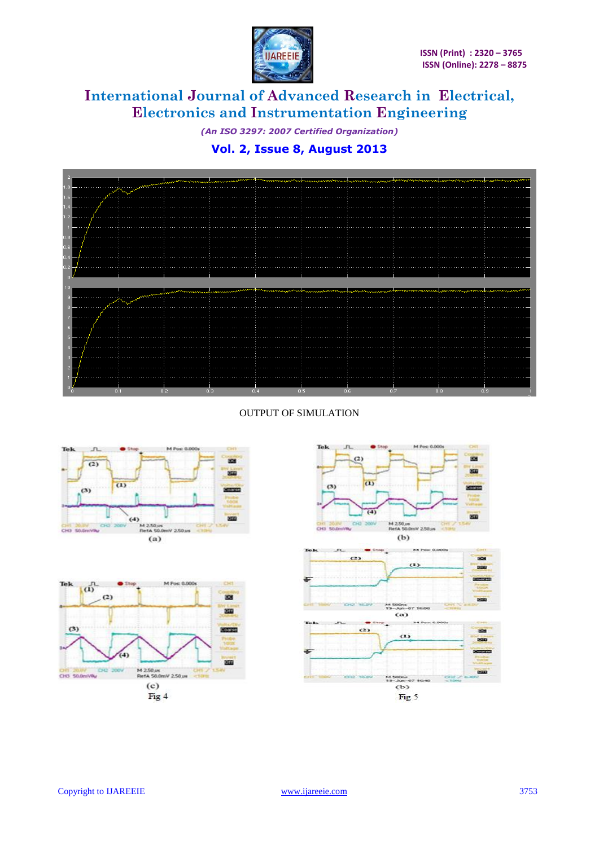

*(An ISO 3297: 2007 Certified Organization)* **Vol. 2, Issue 8, August 2013**



OUTPUT OF SIMULATION





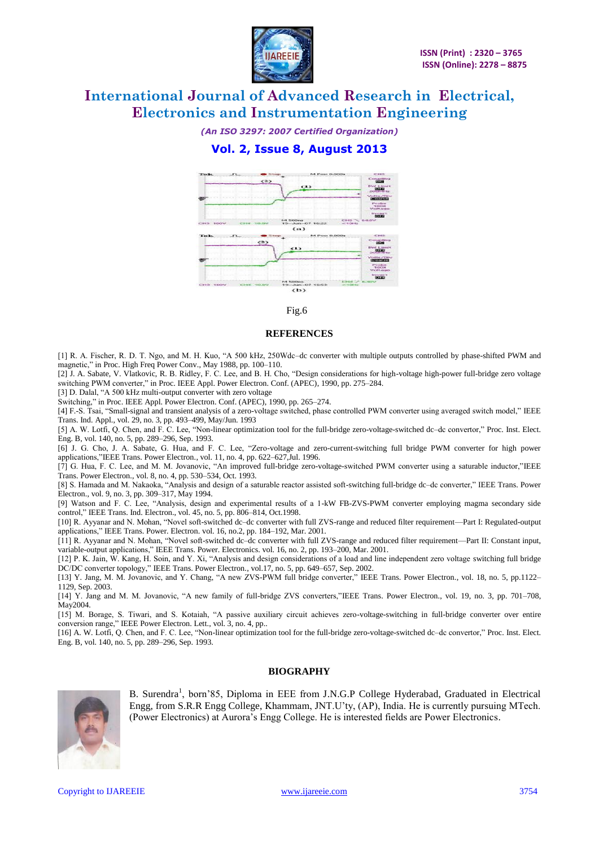

*(An ISO 3297: 2007 Certified Organization)*

### **Vol. 2, Issue 8, August 2013**



#### Fig.6

#### **REFERENCES**

[1] R. A. Fischer, R. D. T. Ngo, and M. H. Kuo, "A 500 kHz, 250Wdc–dc converter with multiple outputs controlled by phase-shifted PWM and magnetic," in Proc. High Freq Power Conv., May 1988, pp. 100-110.

[2] J. A. Sabate, V. Vlatkovic, R. B. Ridley, F. C. Lee, and B. H. Cho, "Design considerations for high-voltage high-power full-bridge zero voltage switching PWM converter," in Proc. IEEE Appl. Power Electron. Conf. (APEC), 1990, pp. 275–284.

[3] D. Dalal, "A 500 kHz multi-output converter with zero voltage

Switching," in Proc. IEEE Appl. Power Electron. Conf. (APEC), 1990, pp. 265–274.

[4] F.-S. Tsai, "Small-signal and transient analysis of a zero-voltage switched, phase controlled PWM converter using averaged switch model," IEEE Trans. Ind. Appl., vol. 29, no. 3, pp. 493–499, May/Jun. 1993

[5] A. W. Lotfi, Q. Chen, and F. C. Lee, "Non-linear optimization tool for the full-bridge zero-voltage-switched dc–dc convertor," Proc. Inst. Elect. Eng. B, vol. 140, no. 5, pp. 289–296, Sep. 1993.

[6] J. G. Cho, J. A. Sabate, G. Hua, and F. C. Lee, "Zero-voltage and zero-current-switching full bridge PWM converter for high power applications,"IEEE Trans. Power Electron., vol. 11, no. 4, pp. 622–627, Jul. 1996.

[7] G. Hua, F. C. Lee, and M. M. Jovanovic, "An improved full-bridge zero-voltage-switched PWM converter using a saturable inductor,"IEEE Trans. Power Electron., vol. 8, no. 4, pp. 530–534, Oct. 1993.

[8] S. Hamada and M. Nakaoka, "Analysis and design of a saturable reactor assisted soft-switching full-bridge dc–dc converter," IEEE Trans. Power Electron., vol. 9, no. 3, pp. 309–317, May 1994.

[9] Watson and F. C. Lee, "Analysis, design and experimental results of a 1-kW FB-ZVS-PWM converter employing magma secondary side control," IEEE Trans. Ind. Electron., vol. 45, no. 5, pp. 806–814, Oct.1998.

[10] R. Ayyanar and N. Mohan, "Novel soft-switched dc–dc converter with full ZVS-range and reduced filter requirement—Part I: Regulated-output applications," IEEE Trans. Power. Electron. vol. 16, no.2, pp. 184-192, Mar. 2001.

[11] R. Ayyanar and N. Mohan, "Novel soft-switched dc–dc converter with full ZVS-range and reduced filter requirement—Part II: Constant input, variable-output applications," IEEE Trans. Power. Electronics. vol. 16, no. 2, pp. 193–200, Mar. 2001.

[12] P. K. Jain, W. Kang, H. Soin, and Y. Xi, "Analysis and design considerations of a load and line independent zero voltage switching full bridge DC/DC converter topology," IEEE Trans. Power Electron., vol.17, no. 5, pp. 649–657, Sep. 2002.

[13] Y. Jang, M. M. Jovanovic, and Y. Chang, "A new ZVS-PWM full bridge converter," IEEE Trans. Power Electron., vol. 18, no. 5, pp.1122-1129, Sep. 2003.

[14] Y. Jang and M. M. Jovanovic, "A new family of full-bridge ZVS converters,"IEEE Trans. Power Electron., vol. 19, no. 3, pp. 701-708, May2004.

[15] M. Borage, S. Tiwari, and S. Kotaiah, "A passive auxiliary circuit achieves zero-voltage-switching in full-bridge converter over entire conversion range," IEEE Power Electron. Lett., vol. 3, no. 4, pp..

[16] A. W. Lotfi, Q. Chen, and F. C. Lee, "Non-linear optimization tool for the full-bridge zero-voltage-switched dc–dc convertor," Proc. Inst. Elect. Eng. B, vol. 140, no. 5, pp. 289–296, Sep. 1993.

#### **BIOGRAPHY**



B. Surendra<sup>1</sup>, born'85, Diploma in EEE from J.N.G.P College Hyderabad, Graduated in Electrical Engg, from S.R.R Engg College, Khammam, JNT.U'ty, (AP), India. He is currently pursuing MTech. (Power Electronics) at Aurora's Engg College. He is interested fields are Power Electronics.